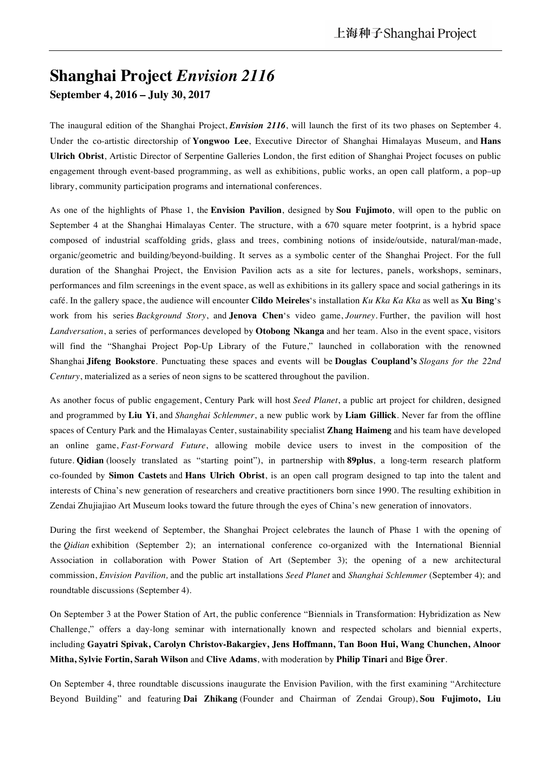# **Shanghai Project** *Envision 2116* **September 4, 2016 – July 30, 2017**

The inaugural edition of the Shanghai Project, *Envision 2116*, will launch the first of its two phases on September 4. Under the co-artistic directorship of **Yongwoo Lee**, Executive Director of Shanghai Himalayas Museum, and **Hans Ulrich Obrist**, Artistic Director of Serpentine Galleries London, the first edition of Shanghai Project focuses on public engagement through event-based programming, as well as exhibitions, public works, an open call platform, a pop–up library, community participation programs and international conferences.

As one of the highlights of Phase 1, the **Envision Pavilion**, designed by **Sou Fujimoto**, will open to the public on September 4 at the Shanghai Himalayas Center. The structure, with a 670 square meter footprint, is a hybrid space composed of industrial scaffolding grids, glass and trees, combining notions of inside/outside, natural/man-made, organic/geometric and building/beyond-building. It serves as a symbolic center of the Shanghai Project. For the full duration of the Shanghai Project, the Envision Pavilion acts as a site for lectures, panels, workshops, seminars, performances and film screenings in the event space, as well as exhibitions in its gallery space and social gatherings in its café. In the gallery space, the audience will encounter **Cildo Meireles**'s installation *Ku Kka Ka Kka* as well as **Xu Bing**'s work from his series *Background Story*, and **Jenova Chen**'s video game, *Journey.* Further, the pavilion will host *Landversation*, a series of performances developed by **Otobong Nkanga** and her team. Also in the event space, visitors will find the "Shanghai Project Pop-Up Library of the Future," launched in collaboration with the renowned Shanghai **Jifeng Bookstore**. Punctuating these spaces and events will be **Douglas Coupland's** *Slogans for the 22nd Century*, materialized as a series of neon signs to be scattered throughout the pavilion.

As another focus of public engagement, Century Park will host *Seed Planet*, a public art project for children, designed and programmed by **Liu Yi**, and *Shanghai Schlemmer*, a new public work by **Liam Gillick**. Never far from the offline spaces of Century Park and the Himalayas Center, sustainability specialist **Zhang Haimeng** and his team have developed an online game, *Fast-Forward Future*, allowing mobile device users to invest in the composition of the future. **Qidian** (loosely translated as "starting point"), in partnership with **89plus**, a long-term research platform co-founded by **Simon Castets** and **Hans Ulrich Obrist**, is an open call program designed to tap into the talent and interests of China's new generation of researchers and creative practitioners born since 1990. The resulting exhibition in Zendai Zhujiajiao Art Museum looks toward the future through the eyes of China's new generation of innovators.

During the first weekend of September, the Shanghai Project celebrates the launch of Phase 1 with the opening of the *Qidian* exhibition (September 2); an international conference co-organized with the International Biennial Association in collaboration with Power Station of Art (September 3); the opening of a new architectural commission, *Envision Pavilion,* and the public art installations *Seed Planet* and *Shanghai Schlemmer* (September 4); and roundtable discussions (September 4).

On September 3 at the Power Station of Art, the public conference "Biennials in Transformation: Hybridization as New Challenge," offers a day-long seminar with internationally known and respected scholars and biennial experts, including **Gayatri Spivak, Carolyn Christov-Bakargiev, Jens Hoffmann, Tan Boon Hui, Wang Chunchen, Alnoor Mitha, Sylvie Fortin, Sarah Wilson** and **Clive Adams**, with moderation by **Philip Tinari** and **Bige Örer**.

On September 4, three roundtable discussions inaugurate the Envision Pavilion*,* with the first examining "Architecture Beyond Building" and featuring **Dai Zhikang** (Founder and Chairman of Zendai Group), **Sou Fujimoto, Liu**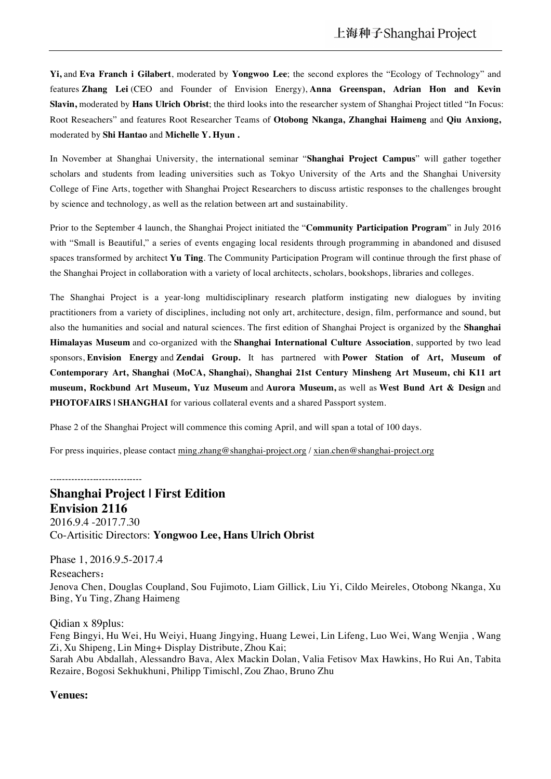**Yi,** and **Eva Franch i Gilabert**, moderated by **Yongwoo Lee**; the second explores the "Ecology of Technology" and features **Zhang Lei** (CEO and Founder of Envision Energy), **Anna Greenspan, Adrian Hon and Kevin Slavin,** moderated by **Hans Ulrich Obrist**; the third looks into the researcher system of Shanghai Project titled "In Focus: Root Reseachers" and features Root Researcher Teams of **Otobong Nkanga, Zhanghai Haimeng** and **Qiu Anxiong,**  moderated by **Shi Hantao** and **Michelle Y. Hyun .**

In November at Shanghai University, the international seminar "**Shanghai Project Campus**" will gather together scholars and students from leading universities such as Tokyo University of the Arts and the Shanghai University College of Fine Arts, together with Shanghai Project Researchers to discuss artistic responses to the challenges brought by science and technology, as well as the relation between art and sustainability.

Prior to the September 4 launch, the Shanghai Project initiated the "**Community Participation Program**" in July 2016 with "Small is Beautiful," a series of events engaging local residents through programming in abandoned and disused spaces transformed by architect **Yu Ting**. The Community Participation Program will continue through the first phase of the Shanghai Project in collaboration with a variety of local architects, scholars, bookshops, libraries and colleges.

The Shanghai Project is a year-long multidisciplinary research platform instigating new dialogues by inviting practitioners from a variety of disciplines, including not only art, architecture, design, film, performance and sound, but also the humanities and social and natural sciences. The first edition of Shanghai Project is organized by the **Shanghai Himalayas Museum** and co-organized with the **Shanghai International Culture Association**, supported by two lead sponsors, **Envision Energy** and **Zendai Group.** It has partnered with **Power Station of Art, Museum of Contemporary Art, Shanghai (MoCA, Shanghai), Shanghai 21st Century Minsheng Art Museum, chi K11 art museum, Rockbund Art Museum, Yuz Museum** and **Aurora Museum,** as well as **West Bund Art & Design** and **PHOTOFAIRS | SHANGHAI** for various collateral events and a shared Passport system.

Phase 2 of the Shanghai Project will commence this coming April, and will span a total of 100 days.

For press inquiries, please contact ming.zhang@shanghai-project.org / xian.chen@shanghai-project.org

------------------------------

**Shanghai Project | First Edition Envision 2116** 2016.9.4 -2017.7.30 Co-Artisitic Directors: **Yongwoo Lee, Hans Ulrich Obrist**

Phase 1, 2016.9.5-2017.4 Reseachers: Jenova Chen, Douglas Coupland, Sou Fujimoto, Liam Gillick, Liu Yi, Cildo Meireles, Otobong Nkanga, Xu Bing, Yu Ting, Zhang Haimeng

Qidian x 89plus: Feng Bingyi, Hu Wei, Hu Weiyi, Huang Jingying, Huang Lewei, Lin Lifeng, Luo Wei, Wang Wenjia , Wang Zi, Xu Shipeng, Lin Ming+ Display Distribute, Zhou Kai; Sarah Abu Abdallah, Alessandro Bava, Alex Mackin Dolan, Valia Fetisov Max Hawkins, Ho Rui An, Tabita Rezaire, Bogosi Sekhukhuni, Philipp Timischl, Zou Zhao, Bruno Zhu

## **Venues:**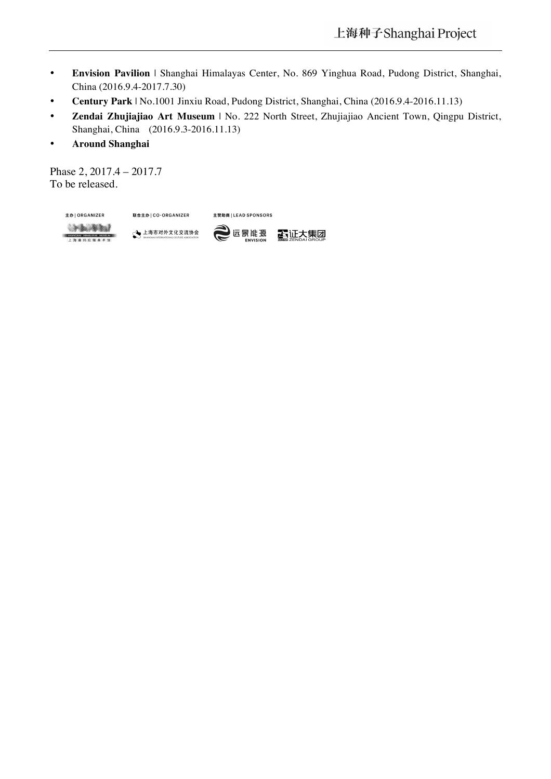- **Envision Pavilion** | Shanghai Himalayas Center, No. 869 Yinghua Road, Pudong District, Shanghai, China (2016.9.4-2017.7.30)
- **Century Park** | No.1001 Jinxiu Road, Pudong District, Shanghai, China (2016.9.4-2016.11.13)
- **Zendai Zhujiajiao Art Museum** | No. 222 North Street, Zhujiajiao Ancient Town, Qingpu District, Shanghai, China (2016.9.3-2016.11.13)
- **Around Shanghai**

Phase 2, 2017.4 – 2017.7 To be released.

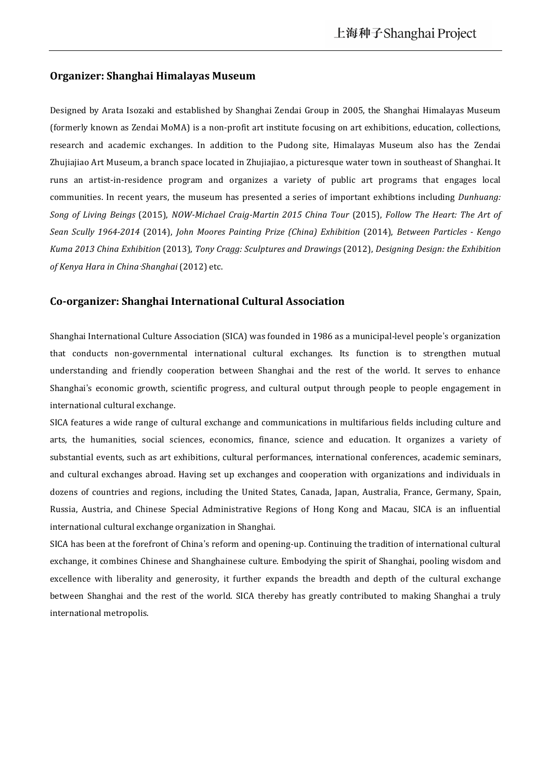# **Organizer: Shanghai Himalayas Museum**

Designed by Arata Isozaki and established by Shanghai Zendai Group in 2005, the Shanghai Himalayas Museum (formerly known as Zendai MoMA) is a non-profit art institute focusing on art exhibitions, education, collections, research and academic exchanges. In addition to the Pudong site, Himalayas Museum also has the Zendai Zhujiajiao Art Museum, a branch space located in Zhujiajiao, a picturesque water town in southeast of Shanghai. It runs an artist-in-residence program and organizes a variety of public art programs that engages local communities. In recent years, the museum has presented a series of important exhibtions including *Dunhuang: Song* of Living Beings (2015), *NOW-Michael Craig-Martin 2015 China Tour* (2015), *Follow The Heart: The Art of Sean Scully 1964-2014* (2014), *John Moores Painting Prize (China) Exhibition* (2014), *Between Particles - Kengo Kuma 2013 China Exhibition* (2013), *Tony Cragg: Sculptures and Drawings* (2012), *Designing Design: the Exhibition of Kenya Hara in China*·*Shanghai* (2012) etc.

# **Co-organizer: Shanghai International Cultural Association**

Shanghai International Culture Association (SICA) was founded in 1986 as a municipal-level people's organization that conducts non-governmental international cultural exchanges. Its function is to strengthen mutual understanding and friendly cooperation between Shanghai and the rest of the world. It serves to enhance Shanghai's economic growth, scientific progress, and cultural output through people to people engagement in international cultural exchange.

SICA features a wide range of cultural exchange and communications in multifarious fields including culture and arts, the humanities, social sciences, economics, finance, science and education. It organizes a variety of substantial events, such as art exhibitions, cultural performances, international conferences, academic seminars, and cultural exchanges abroad. Having set up exchanges and cooperation with organizations and individuals in dozens of countries and regions, including the United States, Canada, Japan, Australia, France, Germany, Spain, Russia, Austria, and Chinese Special Administrative Regions of Hong Kong and Macau, SICA is an influential international cultural exchange organization in Shanghai.

SICA has been at the forefront of China's reform and opening-up. Continuing the tradition of international cultural exchange, it combines Chinese and Shanghainese culture. Embodying the spirit of Shanghai, pooling wisdom and excellence with liberality and generosity, it further expands the breadth and depth of the cultural exchange between Shanghai and the rest of the world. SICA thereby has greatly contributed to making Shanghai a truly international metropolis.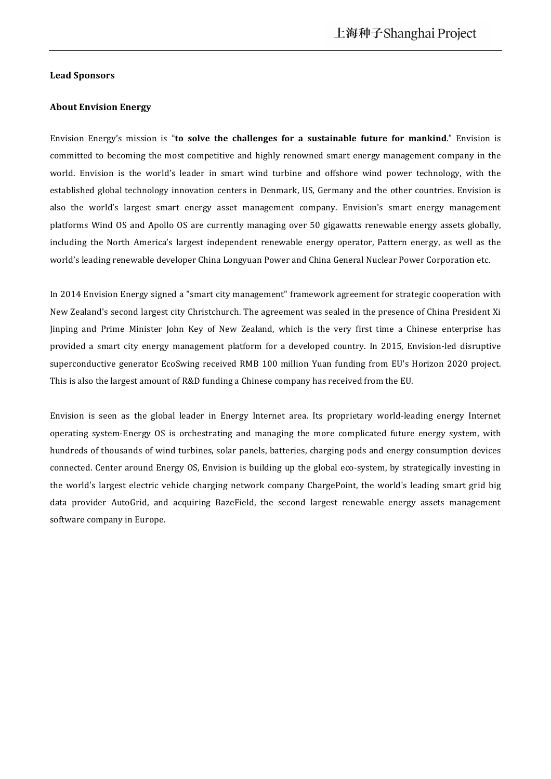## **Lead Sponsors**

## **About Envision Energy**

Envision Energy's mission is "to solve the challenges for a sustainable future for mankind." Envision is committed to becoming the most competitive and highly renowned smart energy management company in the world. Envision is the world's leader in smart wind turbine and offshore wind power technology, with the established global technology innovation centers in Denmark, US, Germany and the other countries. Envision is also the world's largest smart energy asset management company. Envision's smart energy management platforms Wind OS and Apollo OS are currently managing over 50 gigawatts renewable energy assets globally, including the North America's largest independent renewable energy operator, Pattern energy, as well as the world's leading renewable developer China Longyuan Power and China General Nuclear Power Corporation etc.

In 2014 Envision Energy signed a "smart city management" framework agreement for strategic cooperation with New Zealand's second largest city Christchurch. The agreement was sealed in the presence of China President Xi Jinping and Prime Minister John Key of New Zealand, which is the very first time a Chinese enterprise has provided a smart city energy management platform for a developed country. In 2015, Envision-led disruptive superconductive generator EcoSwing received RMB 100 million Yuan funding from EU's Horizon 2020 project. This is also the largest amount of R&D funding a Chinese company has received from the EU.

Envision is seen as the global leader in Energy Internet area. Its proprietary world-leading energy Internet operating system-Energy OS is orchestrating and managing the more complicated future energy system, with hundreds of thousands of wind turbines, solar panels, batteries, charging pods and energy consumption devices connected. Center around Energy OS, Envision is building up the global eco-system, by strategically investing in the world's largest electric vehicle charging network company ChargePoint, the world's leading smart grid big data provider AutoGrid, and acquiring BazeField, the second largest renewable energy assets management software company in Europe.